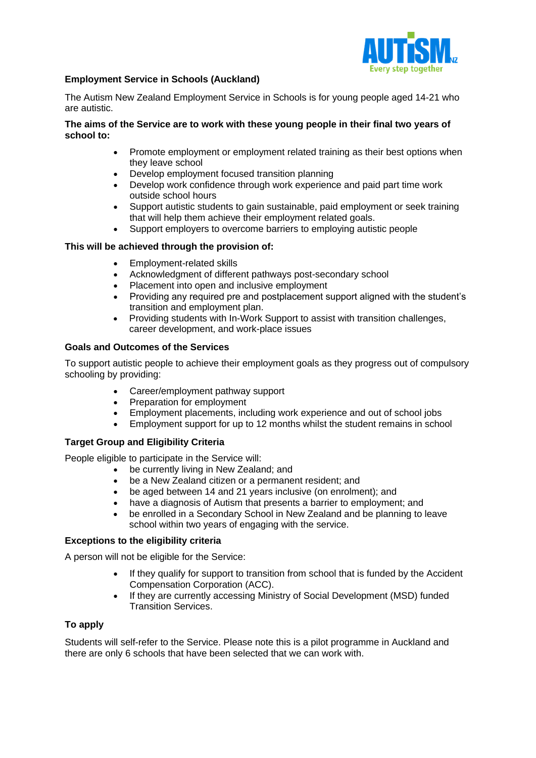

#### l **Employment Service in Schools (Auckland)**

The Autism New Zealand Employment Service in Schools is for young people aged 14-21 who are autistic.

## **The aims of the Service are to work with these young people in their final two years of school to:**

- Promote employment or employment related training as their best options when they leave school
- Develop employment focused transition planning
- Develop work confidence through work experience and paid part time work outside school hours
- Support autistic students to gain sustainable, paid employment or seek training that will help them achieve their employment related goals.
- Support employers to overcome barriers to employing autistic people

# **This will be achieved through the provision of:**

- Employment-related skills
- Acknowledgment of different pathways post-secondary school
- Placement into open and inclusive employment
- Providing any required pre and postplacement support aligned with the student's transition and employment plan.
- Providing students with In-Work Support to assist with transition challenges, career development, and work-place issues

### **Goals and Outcomes of the Services**

To support autistic people to achieve their employment goals as they progress out of compulsory schooling by providing:

- Career/employment pathway support
- Preparation for employment
- Employment placements, including work experience and out of school jobs
- Employment support for up to 12 months whilst the student remains in school

### **Target Group and Eligibility Criteria**

People eligible to participate in the Service will:

- be currently living in New Zealand; and
- be a New Zealand citizen or a permanent resident; and
- be aged between 14 and 21 years inclusive (on enrolment); and
- have a diagnosis of Autism that presents a barrier to employment; and
- be enrolled in a Secondary School in New Zealand and be planning to leave school within two years of engaging with the service.

### **Exceptions to the eligibility criteria**

A person will not be eligible for the Service:

- If they qualify for support to transition from school that is funded by the Accident Compensation Corporation (ACC).
- If they are currently accessing Ministry of Social Development (MSD) funded Transition Services.

# **To apply**

Students will self-refer to the Service. Please note this is a pilot programme in Auckland and there are only 6 schools that have been selected that we can work with.